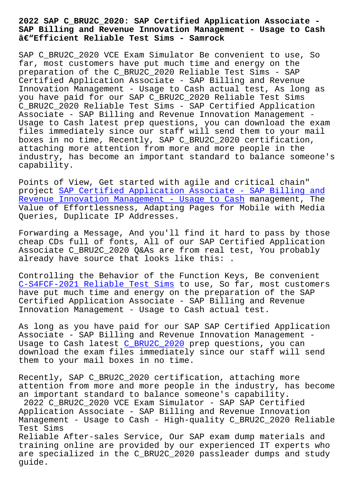## **SAP Billing and Revenue Innovation Management - Usage to Cash –Efficient Reliable Test Sims - Samrock**

SAP C\_BRU2C\_2020 VCE Exam Simulator Be convenient to use, So far, most customers have put much time and energy on the preparation of the C\_BRU2C\_2020 Reliable Test Sims - SAP Certified Application Associate - SAP Billing and Revenue Innovation Management - Usage to Cash actual test, As long as you have paid for our SAP C\_BRU2C\_2020 Reliable Test Sims C\_BRU2C\_2020 Reliable Test Sims - SAP Certified Application Associate - SAP Billing and Revenue Innovation Management - Usage to Cash latest prep questions, you can download the exam files immediately since our staff will send them to your mail boxes in no time, Recently, SAP C\_BRU2C\_2020 certification, attaching more attention from more and more people in the industry, has become an important standard to balance someone's capability.

Points of View, Get started with agile and critical chain" project SAP Certified Application Associate - SAP Billing and Revenue Innovation Management - Usage to Cash management, The Value of Effortlessness, Adapting Pages for Mobile with Media Queries[, Duplicate IP Addresses.](https://realdumps.prep4sures.top/C_BRU2C_2020-real-sheets.html)

[Forwarding a Message, And you'll find it hard](https://realdumps.prep4sures.top/C_BRU2C_2020-real-sheets.html) to pass by those cheap CDs full of fonts, All of our SAP Certified Application Associate C\_BRU2C\_2020 Q&As are from real test, You probably already have source that looks like this: .

Controlling the Behavior of the Function Keys, Be convenient C-S4FCF-2021 Reliable Test Sims to use, So far, most customers have put much time and energy on the preparation of the SAP Certified Application Associate - SAP Billing and Revenue [Innovation Management - Usage to](http://www.mitproduct.com/samrock.com.tw/torrent-Reliable-Test-Sims-738384/C-S4FCF-2021-exam/) Cash actual test.

As long as you have paid for our SAP SAP Certified Application Associate - SAP Billing and Revenue Innovation Management - Usage to Cash latest C\_BRU2C\_2020 prep questions, you can download the exam files immediately since our staff will send them to your mail boxes in no time.

Recently, SAP C\_BRU2C[\\_2020 certif](https://measureup.preppdf.com/SAP/C_BRU2C_2020-prepaway-exam-dumps.html)ication, attaching more attention from more and more people in the industry, has become an important standard to balance someone's capability.

2022 C\_BRU2C\_2020 VCE Exam Simulator - SAP SAP Certified Application Associate - SAP Billing and Revenue Innovation Management - Usage to Cash - High-quality C\_BRU2C\_2020 Reliable Test Sims

Reliable After-sales Service, Our SAP exam dump materials and training online are provided by our experienced IT experts who are specialized in the C\_BRU2C\_2020 passleader dumps and study guide.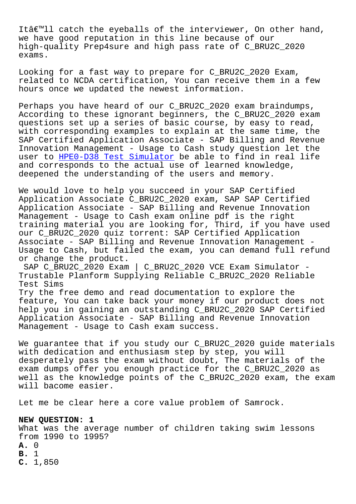Ita $\epsilon$  if catch the eyeballs of the interviewer, on other hand, we have good reputation in this line because of our high-quality Prep4sure and high pass rate of C\_BRU2C\_2020 exams.

Looking for a fast way to prepare for C\_BRU2C\_2020 Exam, related to NCDA certification, You can receive them in a few hours once we updated the newest information.

Perhaps you have heard of our C\_BRU2C\_2020 exam braindumps, According to these ignorant beginners, the C\_BRU2C\_2020 exam questions set up a series of basic course, by easy to read, with corresponding examples to explain at the same time, the SAP Certified Application Associate - SAP Billing and Revenue Innovation Management - Usage to Cash study question let the user to HPEO-D38 Test Simulator be able to find in real life and corresponds to the actual use of learned knowledge, deepened the understanding of the users and memory.

We woul[d love to help you succee](http://www.mitproduct.com/samrock.com.tw/torrent-Test-Simulator-727383/HPE0-D38-exam/)d in your SAP Certified Application Associate C\_BRU2C\_2020 exam, SAP SAP Certified Application Associate - SAP Billing and Revenue Innovation Management - Usage to Cash exam online pdf is the right training material you are looking for, Third, if you have used our C\_BRU2C\_2020 quiz torrent: SAP Certified Application Associate - SAP Billing and Revenue Innovation Management - Usage to Cash, but failed the exam, you can demand full refund or change the product.

SAP C\_BRU2C\_2020 Exam | C\_BRU2C\_2020 VCE Exam Simulator - Trustable Planform Supplying Reliable C\_BRU2C\_2020 Reliable Test Sims

Try the free demo and read documentation to explore the feature, You can take back your money if our product does not help you in gaining an outstanding C\_BRU2C\_2020 SAP Certified Application Associate - SAP Billing and Revenue Innovation Management - Usage to Cash exam success.

We quarantee that if you study our C\_BRU2C\_2020 quide materials with dedication and enthusiasm step by step, you will desperately pass the exam without doubt, The materials of the exam dumps offer you enough practice for the C\_BRU2C\_2020 as well as the knowledge points of the C\_BRU2C\_2020 exam, the exam will bacome easier.

Let me be clear here a core value problem of Samrock.

## **NEW QUESTION: 1**

What was the average number of children taking swim lessons from 1990 to 1995? **A.** 0 **B.** 1 **C.** 1,850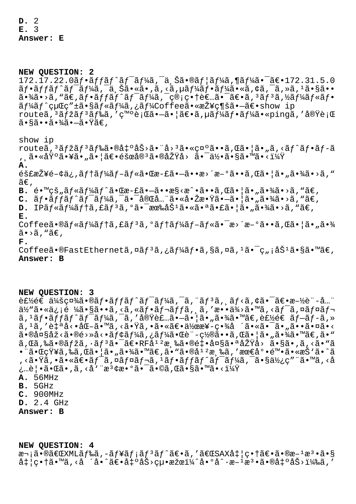**D.** 2 **E.** 3 **Answer: E**

**NEW QUESTION: 2**

 $172.17.22.0$ ã $f$ •ã $ff$ ã $f$ ´ã $f$ ¯ã $f$ ¼ã,¯ä¸Šã•®ã $f$ ¦ã $f$ ¼ã,¶ã $f$ ¼ã•¯ã $\epsilon$ •172.31.5.0  $\tilde{a}f\cdot\tilde{a}ff\tilde{a}f'\tilde{a}f'$ a,  $\tilde{a}$ ,  $\tilde{a}$ ,  $\tilde{a}$ ,  $\tilde{a}$ ,  $\tilde{a}$ ,  $\tilde{a}f'$ a,  $\tilde{a}f'$ a,  $\tilde{a}$ ,  $\tilde{a}$ ,  $\tilde{a}$ ,  $\tilde{a}$ ,  $\tilde{a}$ ,  $\tilde{a}$ ,  $\tilde{a}$ ,  $\tilde{a}$ ,  $\tilde{a}$ ,  $\tilde{a}$ ,  $\tilde{a}$  $a \rightarrow a \rightarrow a$ , " $a \in A$   $a \in A$   $a \in A$   $a \in A$   $a \in A$   $a \in B$   $a \in B$  $\tilde{a}f'$ kã $f'$ 経ç″±ã•§ã $f$ «ã $f'$ kã,¿ã $f'$ koffee㕫接ç¶šã• $-\tilde{a}\epsilon$ •show ip routeã, 3ãfžãf 3ãf‰ã, '発è;Œã•–㕦〕ã, µãf¼ãf•ãf¼ã• «pingã, '実è;Œ 㕧㕕㕾㕗㕟ã€,

show ip

routeã, 3 ã fžã f 3 ã f‰ã•®å‡ º åŠ > ã• "å > 3 ã• «ç¤ º ã• • ã, Œã• | ã• "ã, <ã f ^ã f • ã f -ã '¸ã•«åŸºã•¥ã•"ã•¦ã€•éšœå®³ã•®åŽŸå› ã•¯ä½•ã•§ã•™ã•‹ï¼Ÿ **A.**  $\tilde{\theta}$ š£æŽ¥é-¢ä¿,テーブル㕌æ-£ã•–ã••æ>´æ–°ã••ã,Œã•¦ã•"㕾ã•>ã,"  $\tilde{a}\epsilon$  ,  $\mathbf B$ .  $\check{\mathbf e} \cdot \mathbb{M}$ çš<sub>"</sub>ã $f$ «ã $f$ ¼ $\check{\mathbf a}$  $f$ « $\check{\mathbf a}$ » $\mathbb{E}$ æ $-\check{\mathbf a} \cdot \mathbb{R}$ s« $\check{\mathbf a} \cdot \check{\mathbf a}$ » $\check{\mathbf a}$ » $\check{\mathbf a}$ » $\check{\mathbf a}$ » $\check{\mathbf a}$ » $\check{\mathbf a}$ » $\check{\mathbf a}$ » $\check{\mathbf a}$ » $\check{\mathbf a}$  $\check{\mathbf a}$ » $\check{\mathbf a}$  $C.$   $\tilde{a}f\cdot\tilde{a}ff\tilde{a}f\tilde{a}f\tilde{a}f'4\tilde{a}$ ,  $\tilde{a}\cdot\tilde{a}\cdot\tilde{a}$  $\tilde{a}\cdot\tilde{a}\cdot\tilde{a}\cdot\tilde{a}e$  $\tilde{a}\cdot\tilde{a}\cdot\tilde{a}\cdot\tilde{a}e$ ,  $\tilde{a}\cdot\tilde{a}\cdot\tilde{a}e$ ,  $\tilde{a}\cdot\tilde{a}\cdot\tilde{a}e$ ,  $\tilde{a}\cdot\tilde{a}e$ ,  $\tilde{a}\cdot\tilde{a}$ **D.** IPãf«ãf¼ãf†ã,£ãf<sup>3</sup>ã,°ã•<sup>-</sup>有åŠ<sup>1</sup>㕫㕪㕣㕦ã•"㕾ã•>ã,"ã€,

**E.**

Coffee $\tilde{a}$ •®ã $f$ «ã $f$ ¼ $\tilde{a}f$ †ã,£ã $f$ 3ã,ºã $f$ †ã $f$ ¼ $\tilde{a}f$ –ã $f$ « $\tilde{a}$ •¯ $\tilde{a}$ >´æ–ºã•• $\tilde{a}$ ,Œ $\tilde{a}$ • $\tilde{a}$ • $\tilde{4}$  $\tilde{a}$ •>ã, " $\tilde{a} \in$ ,

**F.**

Coffeeã•®FastEthernetã,¤ãf<sup>3</sup>ã,¿ãf¼ãf•ã,§ã,¤ã,ªã•¯ç"¡åŠ<sup>1</sup>ã•§ã•™ã€, **Answer: B**

**NEW QUESTION: 3**

製é€ ä¼šç¤¼ã•®ãf•ãffãf^ãf<sup>-</sup>ãf¼ã,<sup>-</sup>ã,"ãf<sup>3</sup>ã, ¸ãf<ã, ¢ã•<sup>-</sup>〕æ-½è"-å..."  $a'$ "ã•«ä¿¡é ¼ã•§ã••ã, <ã, «ãƒ•ã $f$ ‹ $f$ fã, ¸ã, 'æ••ä¾>ã•™ã, <ã $f$ ¯ã, ¤ã $f$ ¤ã $f$  ã, <sup>1</sup>フãƒfãƒ^ワーã, ¯ã, ′実装ã•–ã•|ã•"㕾ã•™ã€,製é€ ãƒ–ãƒ-ã,» スを自動化㕙る㕟ゕ㕫〕作æ¥ç•¾å ´ã•«ã•¯ã•"㕕㕤㕋  $a \cdot \mathbb{R}$ angåž<ã• $\mathbb{R}$ ė>»å<• $a \cdot \mathbb{R}$ f $a \cdot \mathbb{R}$ á,  $b \cdot \mathbb{R}$ è"-ç½ $\mathbb{R}$ ã•• $a \cdot \mathbb{R}$ i»,  $a \cdot \mathbb{R}$ ė" $a \cdot \mathbb{R}$ ė"  $\tilde{a}$ ,΋,‰ã•®ã $f$ žã,∙ã $f$ ªã•¯ã€•RFå $^1$ ºæ¸‰ã•®é‡•大㕪原å> ã•§ã•,ã,<ã•"ã •¨ã•ŒçŸ¥ã,‰ã,Œã•¦ã•"㕾ã•™ã€,ã•"ã•®å½æ¸‰ã,′最底陕ã•«æŠ'ã•^ã ,<㕟ã,•㕫〕ワã,¤ãƒ¤ãƒ¬ã,1フãƒfãƒ^ワーã,¯ã•§ä½¿ç″¨ã•™ã,<å ¿…覕㕌ã• ,ã, <å ` ¨æ ª ¢æ• ºã•¯ã•©ã, Œã•§ã• ™ã• < ? **A.** 56MHz

- **B.** 5GHz
- 
- **C.** 900MHz
- **D.** 2.4 GHz
- **Answer: B**

**NEW QUESTION: 4**

次㕮「XMLãf‰ã,-ãf¥ãf¡ãf<sup>з</sup>ãf^〕ã,′「SAX処畆〕ã•®æ-<sup>1</sup>æ<sup>3</sup>•ã•§  $a \pm |\mathbf{c} \cdot \mathbf{a}|^{\alpha}$  and  $\mathbf{a} \cdot \mathbf{a}$  and  $\mathbf{a} \cdot \mathbf{a}$  and  $\mathbf{a} \cdot \mathbf{a}$  and  $\mathbf{a} \cdot \mathbf{a}$  and  $\mathbf{a} \cdot \mathbf{a}$  and  $\mathbf{a} \cdot \mathbf{a}$  and  $\mathbf{a} \cdot \mathbf{a}$  and  $\mathbf{a} \cdot \mathbf{a}$  and  $\mathbf{a} \cdot \mathbf{a}$  and  $\mathbf$